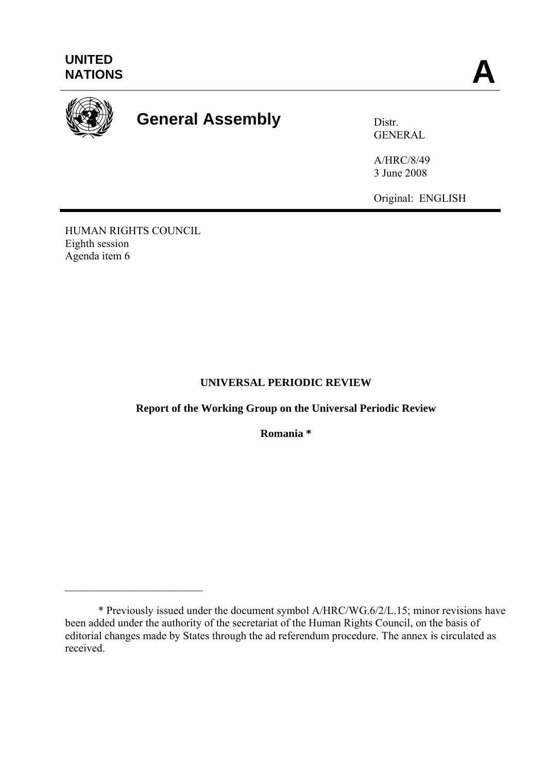

# General Assembly **Distr.**

GENERAL

A/HRC/8/49 3 June 2008

Original: ENGLISH

HUMAN RIGHTS COUNCIL Eighth session Agenda item 6

 $\mathcal{L}_\text{max}$  , and the set of the set of the set of the set of the set of the set of the set of the set of the set of the set of the set of the set of the set of the set of the set of the set of the set of the set of the

# **UNIVERSAL PERIODIC REVIEW**

**Report of the Working Group on the Universal Periodic Review**

**Romania \*** 

 <sup>\*</sup> Previously issued under the document symbol A/HRC/WG.6/2/L.15; minor revisions have been added under the authority of the secretariat of the Human Rights Council, on the basis of editorial changes made by States through the ad referendum procedure. The annex is circulated as received.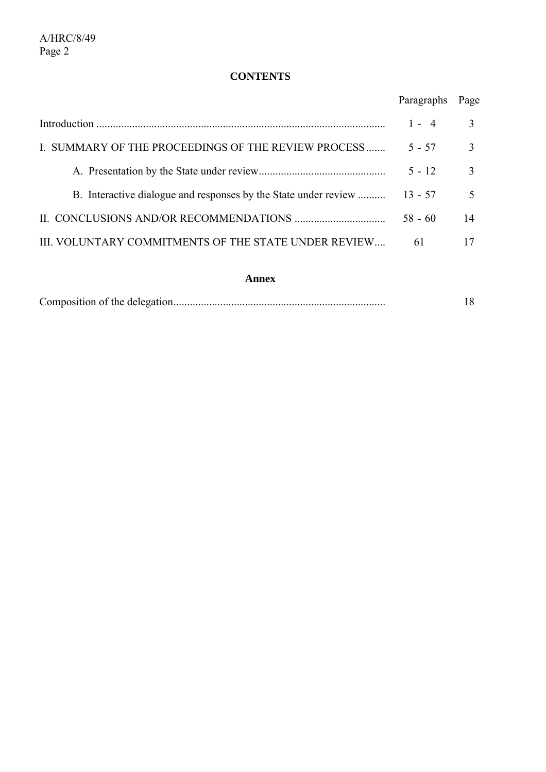# **CONTENTS**

|                                                                 | Paragraphs | Page                     |
|-----------------------------------------------------------------|------------|--------------------------|
|                                                                 | $1 - 4$    | 3                        |
| I. SUMMARY OF THE PROCEEDINGS OF THE REVIEW PROCESS             | $5 - 57$   | $\mathcal{E}$            |
|                                                                 | $5 - 12$   | $\mathbf{3}$             |
| B. Interactive dialogue and responses by the State under review | $13 - 57$  | $\overline{\mathcal{L}}$ |
|                                                                 | $58 - 60$  | 14                       |
| III. VOLUNTARY COMMITMENTS OF THE STATE UNDER REVIEW            | 61         | 17                       |

#### **Annex**

|--|--|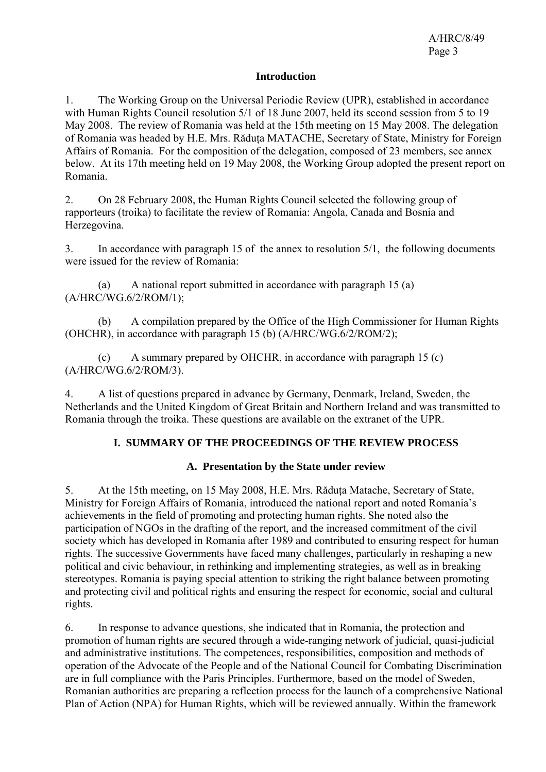#### **Introduction**

1. The Working Group on the Universal Periodic Review (UPR), established in accordance with Human Rights Council resolution 5/1 of 18 June 2007, held its second session from 5 to 19 May 2008. The review of Romania was held at the 15th meeting on 15 May 2008. The delegation of Romania was headed by H.E. Mrs. Răduta MATACHE, Secretary of State, Ministry for Foreign Affairs of Romania. For the composition of the delegation, composed of 23 members, see annex below. At its 17th meeting held on 19 May 2008, the Working Group adopted the present report on Romania.

2. On 28 February 2008, the Human Rights Council selected the following group of rapporteurs (troika) to facilitate the review of Romania: Angola, Canada and Bosnia and Herzegovina.

3. In accordance with paragraph 15 of the annex to resolution 5/1, the following documents were issued for the review of Romania:

 (a) A national report submitted in accordance with paragraph 15 (a) (A/HRC/WG.6/2/ROM/1);

 (b) A compilation prepared by the Office of the High Commissioner for Human Rights (OHCHR), in accordance with paragraph 15 (b) (A/HRC/WG.6/2/ROM/2);

 (c) A summary prepared by OHCHR, in accordance with paragraph 15 (*c*) (A/HRC/WG.6/2/ROM/3).

4. A list of questions prepared in advance by Germany, Denmark, Ireland, Sweden, the Netherlands and the United Kingdom of Great Britain and Northern Ireland and was transmitted to Romania through the troika. These questions are available on the extranet of the UPR.

## **I. SUMMARY OF THE PROCEEDINGS OF THE REVIEW PROCESS**

## **A. Presentation by the State under review**

5. At the 15th meeting, on 15 May 2008, H.E. Mrs. Răduţa Matache, Secretary of State, Ministry for Foreign Affairs of Romania, introduced the national report and noted Romania's achievements in the field of promoting and protecting human rights. She noted also the participation of NGOs in the drafting of the report, and the increased commitment of the civil society which has developed in Romania after 1989 and contributed to ensuring respect for human rights. The successive Governments have faced many challenges, particularly in reshaping a new political and civic behaviour, in rethinking and implementing strategies, as well as in breaking stereotypes. Romania is paying special attention to striking the right balance between promoting and protecting civil and political rights and ensuring the respect for economic, social and cultural rights.

6. In response to advance questions, she indicated that in Romania, the protection and promotion of human rights are secured through a wide-ranging network of judicial, quasi-judicial and administrative institutions. The competences, responsibilities, composition and methods of operation of the Advocate of the People and of the National Council for Combating Discrimination are in full compliance with the Paris Principles. Furthermore, based on the model of Sweden, Romanian authorities are preparing a reflection process for the launch of a comprehensive National Plan of Action (NPA) for Human Rights, which will be reviewed annually. Within the framework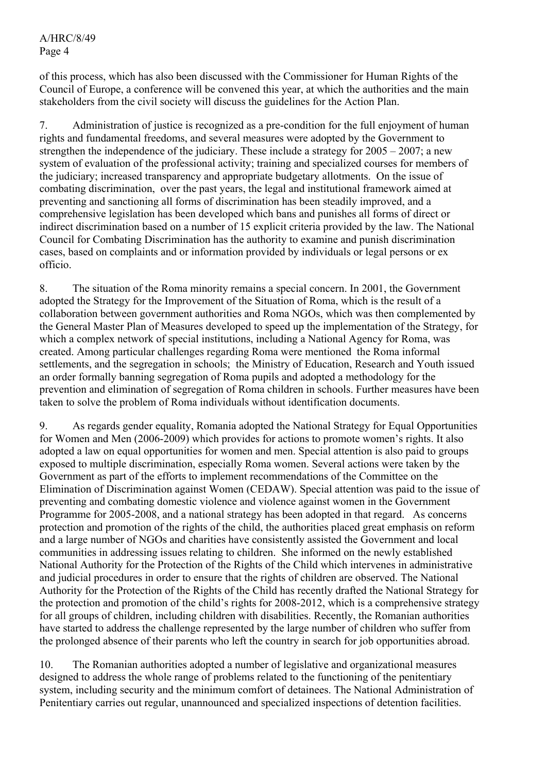of this process, which has also been discussed with the Commissioner for Human Rights of the Council of Europe, a conference will be convened this year, at which the authorities and the main stakeholders from the civil society will discuss the guidelines for the Action Plan.

7. Administration of justice is recognized as a pre-condition for the full enjoyment of human rights and fundamental freedoms, and several measures were adopted by the Government to strengthen the independence of the judiciary. These include a strategy for 2005 – 2007; a new system of evaluation of the professional activity; training and specialized courses for members of the judiciary; increased transparency and appropriate budgetary allotments. On the issue of combating discrimination, over the past years, the legal and institutional framework aimed at preventing and sanctioning all forms of discrimination has been steadily improved, and a comprehensive legislation has been developed which bans and punishes all forms of direct or indirect discrimination based on a number of 15 explicit criteria provided by the law. The National Council for Combating Discrimination has the authority to examine and punish discrimination cases, based on complaints and or information provided by individuals or legal persons or ex officio.

8. The situation of the Roma minority remains a special concern. In 2001, the Government adopted the Strategy for the Improvement of the Situation of Roma, which is the result of a collaboration between government authorities and Roma NGOs, which was then complemented by the General Master Plan of Measures developed to speed up the implementation of the Strategy, for which a complex network of special institutions, including a National Agency for Roma, was created. Among particular challenges regarding Roma were mentioned the Roma informal settlements, and the segregation in schools; the Ministry of Education, Research and Youth issued an order formally banning segregation of Roma pupils and adopted a methodology for the prevention and elimination of segregation of Roma children in schools. Further measures have been taken to solve the problem of Roma individuals without identification documents.

9. As regards gender equality, Romania adopted the National Strategy for Equal Opportunities for Women and Men (2006-2009) which provides for actions to promote women's rights. It also adopted a law on equal opportunities for women and men. Special attention is also paid to groups exposed to multiple discrimination, especially Roma women. Several actions were taken by the Government as part of the efforts to implement recommendations of the Committee on the Elimination of Discrimination against Women (CEDAW). Special attention was paid to the issue of preventing and combating domestic violence and violence against women in the Government Programme for 2005-2008, and a national strategy has been adopted in that regard. As concerns protection and promotion of the rights of the child, the authorities placed great emphasis on reform and a large number of NGOs and charities have consistently assisted the Government and local communities in addressing issues relating to children. She informed on the newly established National Authority for the Protection of the Rights of the Child which intervenes in administrative and judicial procedures in order to ensure that the rights of children are observed. The National Authority for the Protection of the Rights of the Child has recently drafted the National Strategy for the protection and promotion of the child's rights for 2008-2012, which is a comprehensive strategy for all groups of children, including children with disabilities. Recently, the Romanian authorities have started to address the challenge represented by the large number of children who suffer from the prolonged absence of their parents who left the country in search for job opportunities abroad.

10. The Romanian authorities adopted a number of legislative and organizational measures designed to address the whole range of problems related to the functioning of the penitentiary system, including security and the minimum comfort of detainees. The National Administration of Penitentiary carries out regular, unannounced and specialized inspections of detention facilities.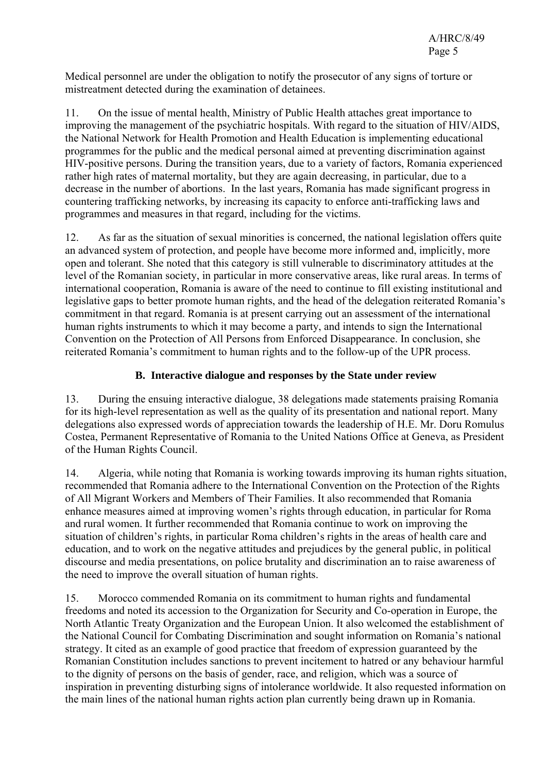Medical personnel are under the obligation to notify the prosecutor of any signs of torture or mistreatment detected during the examination of detainees.

11. On the issue of mental health, Ministry of Public Health attaches great importance to improving the management of the psychiatric hospitals. With regard to the situation of HIV/AIDS, the National Network for Health Promotion and Health Education is implementing educational programmes for the public and the medical personal aimed at preventing discrimination against HIV-positive persons. During the transition years, due to a variety of factors, Romania experienced rather high rates of maternal mortality, but they are again decreasing, in particular, due to a decrease in the number of abortions. In the last years, Romania has made significant progress in countering trafficking networks, by increasing its capacity to enforce anti-trafficking laws and programmes and measures in that regard, including for the victims.

12. As far as the situation of sexual minorities is concerned, the national legislation offers quite an advanced system of protection, and people have become more informed and, implicitly, more open and tolerant. She noted that this category is still vulnerable to discriminatory attitudes at the level of the Romanian society, in particular in more conservative areas, like rural areas. In terms of international cooperation, Romania is aware of the need to continue to fill existing institutional and legislative gaps to better promote human rights, and the head of the delegation reiterated Romania's commitment in that regard. Romania is at present carrying out an assessment of the international human rights instruments to which it may become a party, and intends to sign the International Convention on the Protection of All Persons from Enforced Disappearance. In conclusion, she reiterated Romania's commitment to human rights and to the follow-up of the UPR process.

## **B. Interactive dialogue and responses by the State under review**

13. During the ensuing interactive dialogue, 38 delegations made statements praising Romania for its high-level representation as well as the quality of its presentation and national report. Many delegations also expressed words of appreciation towards the leadership of H.E. Mr. Doru Romulus Costea, Permanent Representative of Romania to the United Nations Office at Geneva, as President of the Human Rights Council.

14. Algeria, while noting that Romania is working towards improving its human rights situation, recommended that Romania adhere to the International Convention on the Protection of the Rights of All Migrant Workers and Members of Their Families. It also recommended that Romania enhance measures aimed at improving women's rights through education, in particular for Roma and rural women. It further recommended that Romania continue to work on improving the situation of children's rights, in particular Roma children's rights in the areas of health care and education, and to work on the negative attitudes and prejudices by the general public, in political discourse and media presentations, on police brutality and discrimination an to raise awareness of the need to improve the overall situation of human rights.

15. Morocco commended Romania on its commitment to human rights and fundamental freedoms and noted its accession to the Organization for Security and Co-operation in Europe, the North Atlantic Treaty Organization and the European Union. It also welcomed the establishment of the National Council for Combating Discrimination and sought information on Romania's national strategy. It cited as an example of good practice that freedom of expression guaranteed by the Romanian Constitution includes sanctions to prevent incitement to hatred or any behaviour harmful to the dignity of persons on the basis of gender, race, and religion, which was a source of inspiration in preventing disturbing signs of intolerance worldwide. It also requested information on the main lines of the national human rights action plan currently being drawn up in Romania.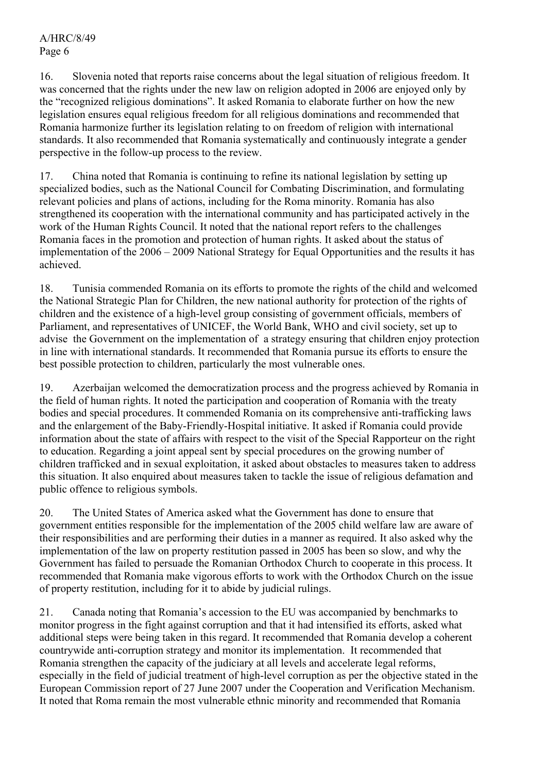16. Slovenia noted that reports raise concerns about the legal situation of religious freedom. It was concerned that the rights under the new law on religion adopted in 2006 are enjoyed only by the "recognized religious dominations". It asked Romania to elaborate further on how the new legislation ensures equal religious freedom for all religious dominations and recommended that Romania harmonize further its legislation relating to on freedom of religion with international standards. It also recommended that Romania systematically and continuously integrate a gender perspective in the follow-up process to the review.

17. China noted that Romania is continuing to refine its national legislation by setting up specialized bodies, such as the National Council for Combating Discrimination, and formulating relevant policies and plans of actions, including for the Roma minority. Romania has also strengthened its cooperation with the international community and has participated actively in the work of the Human Rights Council. It noted that the national report refers to the challenges Romania faces in the promotion and protection of human rights. It asked about the status of implementation of the 2006 – 2009 National Strategy for Equal Opportunities and the results it has achieved.

18. Tunisia commended Romania on its efforts to promote the rights of the child and welcomed the National Strategic Plan for Children, the new national authority for protection of the rights of children and the existence of a high-level group consisting of government officials, members of Parliament, and representatives of UNICEF, the World Bank, WHO and civil society, set up to advise the Government on the implementation of a strategy ensuring that children enjoy protection in line with international standards. It recommended that Romania pursue its efforts to ensure the best possible protection to children, particularly the most vulnerable ones.

19. Azerbaijan welcomed the democratization process and the progress achieved by Romania in the field of human rights. It noted the participation and cooperation of Romania with the treaty bodies and special procedures. It commended Romania on its comprehensive anti-trafficking laws and the enlargement of the Baby-Friendly-Hospital initiative. It asked if Romania could provide information about the state of affairs with respect to the visit of the Special Rapporteur on the right to education. Regarding a joint appeal sent by special procedures on the growing number of children trafficked and in sexual exploitation, it asked about obstacles to measures taken to address this situation. It also enquired about measures taken to tackle the issue of religious defamation and public offence to religious symbols.

20. The United States of America asked what the Government has done to ensure that government entities responsible for the implementation of the 2005 child welfare law are aware of their responsibilities and are performing their duties in a manner as required. It also asked why the implementation of the law on property restitution passed in 2005 has been so slow, and why the Government has failed to persuade the Romanian Orthodox Church to cooperate in this process. It recommended that Romania make vigorous efforts to work with the Orthodox Church on the issue of property restitution, including for it to abide by judicial rulings.

21. Canada noting that Romania's accession to the EU was accompanied by benchmarks to monitor progress in the fight against corruption and that it had intensified its efforts, asked what additional steps were being taken in this regard. It recommended that Romania develop a coherent countrywide anti-corruption strategy and monitor its implementation. It recommended that Romania strengthen the capacity of the judiciary at all levels and accelerate legal reforms, especially in the field of judicial treatment of high-level corruption as per the objective stated in the European Commission report of 27 June 2007 under the Cooperation and Verification Mechanism. It noted that Roma remain the most vulnerable ethnic minority and recommended that Romania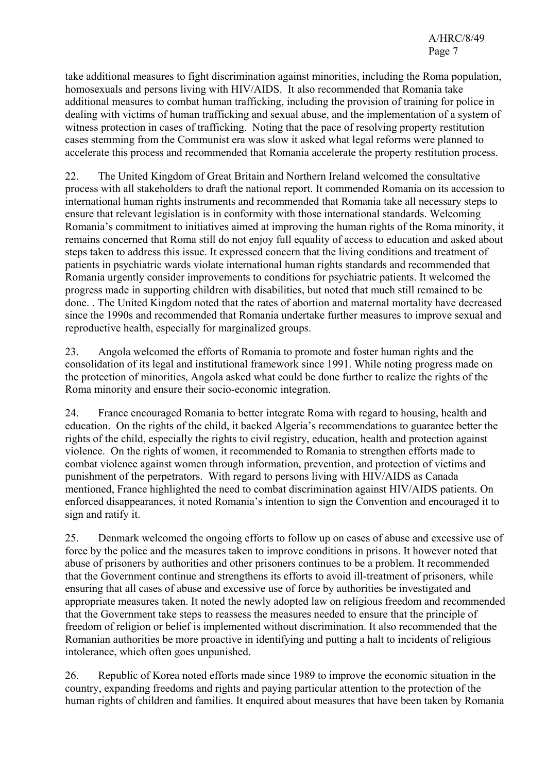take additional measures to fight discrimination against minorities, including the Roma population, homosexuals and persons living with HIV/AIDS. It also recommended that Romania take additional measures to combat human trafficking, including the provision of training for police in dealing with victims of human trafficking and sexual abuse, and the implementation of a system of witness protection in cases of trafficking. Noting that the pace of resolving property restitution cases stemming from the Communist era was slow it asked what legal reforms were planned to accelerate this process and recommended that Romania accelerate the property restitution process.

22. The United Kingdom of Great Britain and Northern Ireland welcomed the consultative process with all stakeholders to draft the national report. It commended Romania on its accession to international human rights instruments and recommended that Romania take all necessary steps to ensure that relevant legislation is in conformity with those international standards. Welcoming Romania's commitment to initiatives aimed at improving the human rights of the Roma minority, it remains concerned that Roma still do not enjoy full equality of access to education and asked about steps taken to address this issue. It expressed concern that the living conditions and treatment of patients in psychiatric wards violate international human rights standards and recommended that Romania urgently consider improvements to conditions for psychiatric patients. It welcomed the progress made in supporting children with disabilities, but noted that much still remained to be done. . The United Kingdom noted that the rates of abortion and maternal mortality have decreased since the 1990s and recommended that Romania undertake further measures to improve sexual and reproductive health, especially for marginalized groups.

23. Angola welcomed the efforts of Romania to promote and foster human rights and the consolidation of its legal and institutional framework since 1991. While noting progress made on the protection of minorities, Angola asked what could be done further to realize the rights of the Roma minority and ensure their socio-economic integration.

24. France encouraged Romania to better integrate Roma with regard to housing, health and education. On the rights of the child, it backed Algeria's recommendations to guarantee better the rights of the child, especially the rights to civil registry, education, health and protection against violence. On the rights of women, it recommended to Romania to strengthen efforts made to combat violence against women through information, prevention, and protection of victims and punishment of the perpetrators. With regard to persons living with HIV/AIDS as Canada mentioned, France highlighted the need to combat discrimination against HIV/AIDS patients. On enforced disappearances, it noted Romania's intention to sign the Convention and encouraged it to sign and ratify it.

25. Denmark welcomed the ongoing efforts to follow up on cases of abuse and excessive use of force by the police and the measures taken to improve conditions in prisons. It however noted that abuse of prisoners by authorities and other prisoners continues to be a problem. It recommended that the Government continue and strengthens its efforts to avoid ill-treatment of prisoners, while ensuring that all cases of abuse and excessive use of force by authorities be investigated and appropriate measures taken. It noted the newly adopted law on religious freedom and recommended that the Government take steps to reassess the measures needed to ensure that the principle of freedom of religion or belief is implemented without discrimination. It also recommended that the Romanian authorities be more proactive in identifying and putting a halt to incidents of religious intolerance, which often goes unpunished.

26. Republic of Korea noted efforts made since 1989 to improve the economic situation in the country, expanding freedoms and rights and paying particular attention to the protection of the human rights of children and families. It enquired about measures that have been taken by Romania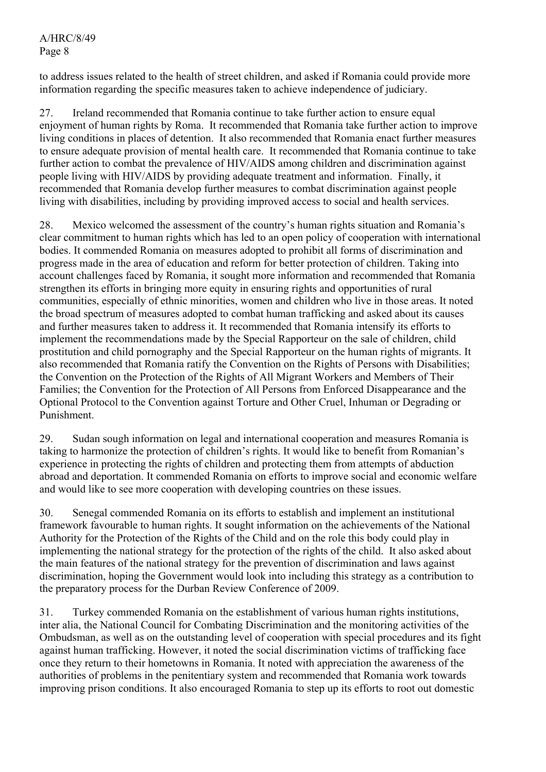to address issues related to the health of street children, and asked if Romania could provide more information regarding the specific measures taken to achieve independence of judiciary.

27. Ireland recommended that Romania continue to take further action to ensure equal enjoyment of human rights by Roma. It recommended that Romania take further action to improve living conditions in places of detention. It also recommended that Romania enact further measures to ensure adequate provision of mental health care. It recommended that Romania continue to take further action to combat the prevalence of HIV/AIDS among children and discrimination against people living with HIV/AIDS by providing adequate treatment and information. Finally, it recommended that Romania develop further measures to combat discrimination against people living with disabilities, including by providing improved access to social and health services.

28. Mexico welcomed the assessment of the country's human rights situation and Romania's clear commitment to human rights which has led to an open policy of cooperation with international bodies. It commended Romania on measures adopted to prohibit all forms of discrimination and progress made in the area of education and reform for better protection of children. Taking into account challenges faced by Romania, it sought more information and recommended that Romania strengthen its efforts in bringing more equity in ensuring rights and opportunities of rural communities, especially of ethnic minorities, women and children who live in those areas. It noted the broad spectrum of measures adopted to combat human trafficking and asked about its causes and further measures taken to address it. It recommended that Romania intensify its efforts to implement the recommendations made by the Special Rapporteur on the sale of children, child prostitution and child pornography and the Special Rapporteur on the human rights of migrants. It also recommended that Romania ratify the Convention on the Rights of Persons with Disabilities; the Convention on the Protection of the Rights of All Migrant Workers and Members of Their Families; the Convention for the Protection of All Persons from Enforced Disappearance and the Optional Protocol to the Convention against Torture and Other Cruel, Inhuman or Degrading or Punishment.

29. Sudan sough information on legal and international cooperation and measures Romania is taking to harmonize the protection of children's rights. It would like to benefit from Romanian's experience in protecting the rights of children and protecting them from attempts of abduction abroad and deportation. It commended Romania on efforts to improve social and economic welfare and would like to see more cooperation with developing countries on these issues.

30. Senegal commended Romania on its efforts to establish and implement an institutional framework favourable to human rights. It sought information on the achievements of the National Authority for the Protection of the Rights of the Child and on the role this body could play in implementing the national strategy for the protection of the rights of the child. It also asked about the main features of the national strategy for the prevention of discrimination and laws against discrimination, hoping the Government would look into including this strategy as a contribution to the preparatory process for the Durban Review Conference of 2009.

31. Turkey commended Romania on the establishment of various human rights institutions, inter alia, the National Council for Combating Discrimination and the monitoring activities of the Ombudsman, as well as on the outstanding level of cooperation with special procedures and its fight against human trafficking. However, it noted the social discrimination victims of trafficking face once they return to their hometowns in Romania. It noted with appreciation the awareness of the authorities of problems in the penitentiary system and recommended that Romania work towards improving prison conditions. It also encouraged Romania to step up its efforts to root out domestic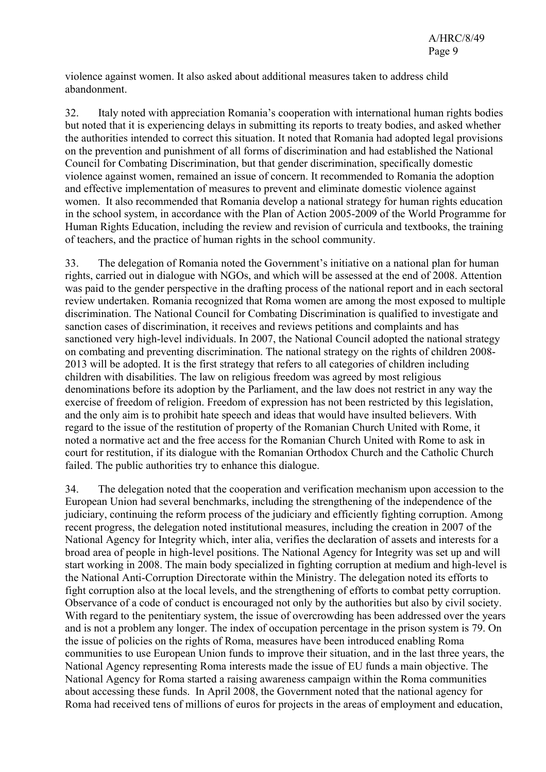violence against women. It also asked about additional measures taken to address child abandonment.

32. Italy noted with appreciation Romania's cooperation with international human rights bodies but noted that it is experiencing delays in submitting its reports to treaty bodies, and asked whether the authorities intended to correct this situation. It noted that Romania had adopted legal provisions on the prevention and punishment of all forms of discrimination and had established the National Council for Combating Discrimination, but that gender discrimination, specifically domestic violence against women, remained an issue of concern. It recommended to Romania the adoption and effective implementation of measures to prevent and eliminate domestic violence against women. It also recommended that Romania develop a national strategy for human rights education in the school system, in accordance with the Plan of Action 2005-2009 of the World Programme for Human Rights Education, including the review and revision of curricula and textbooks, the training of teachers, and the practice of human rights in the school community.

33. The delegation of Romania noted the Government's initiative on a national plan for human rights, carried out in dialogue with NGOs, and which will be assessed at the end of 2008. Attention was paid to the gender perspective in the drafting process of the national report and in each sectoral review undertaken. Romania recognized that Roma women are among the most exposed to multiple discrimination. The National Council for Combating Discrimination is qualified to investigate and sanction cases of discrimination, it receives and reviews petitions and complaints and has sanctioned very high-level individuals. In 2007, the National Council adopted the national strategy on combating and preventing discrimination. The national strategy on the rights of children 2008- 2013 will be adopted. It is the first strategy that refers to all categories of children including children with disabilities. The law on religious freedom was agreed by most religious denominations before its adoption by the Parliament, and the law does not restrict in any way the exercise of freedom of religion. Freedom of expression has not been restricted by this legislation, and the only aim is to prohibit hate speech and ideas that would have insulted believers. With regard to the issue of the restitution of property of the Romanian Church United with Rome, it noted a normative act and the free access for the Romanian Church United with Rome to ask in court for restitution, if its dialogue with the Romanian Orthodox Church and the Catholic Church failed. The public authorities try to enhance this dialogue.

34. The delegation noted that the cooperation and verification mechanism upon accession to the European Union had several benchmarks, including the strengthening of the independence of the judiciary, continuing the reform process of the judiciary and efficiently fighting corruption. Among recent progress, the delegation noted institutional measures, including the creation in 2007 of the National Agency for Integrity which, inter alia, verifies the declaration of assets and interests for a broad area of people in high-level positions. The National Agency for Integrity was set up and will start working in 2008. The main body specialized in fighting corruption at medium and high-level is the National Anti-Corruption Directorate within the Ministry. The delegation noted its efforts to fight corruption also at the local levels, and the strengthening of efforts to combat petty corruption. Observance of a code of conduct is encouraged not only by the authorities but also by civil society. With regard to the penitentiary system, the issue of overcrowding has been addressed over the years and is not a problem any longer. The index of occupation percentage in the prison system is 79. On the issue of policies on the rights of Roma, measures have been introduced enabling Roma communities to use European Union funds to improve their situation, and in the last three years, the National Agency representing Roma interests made the issue of EU funds a main objective. The National Agency for Roma started a raising awareness campaign within the Roma communities about accessing these funds. In April 2008, the Government noted that the national agency for Roma had received tens of millions of euros for projects in the areas of employment and education,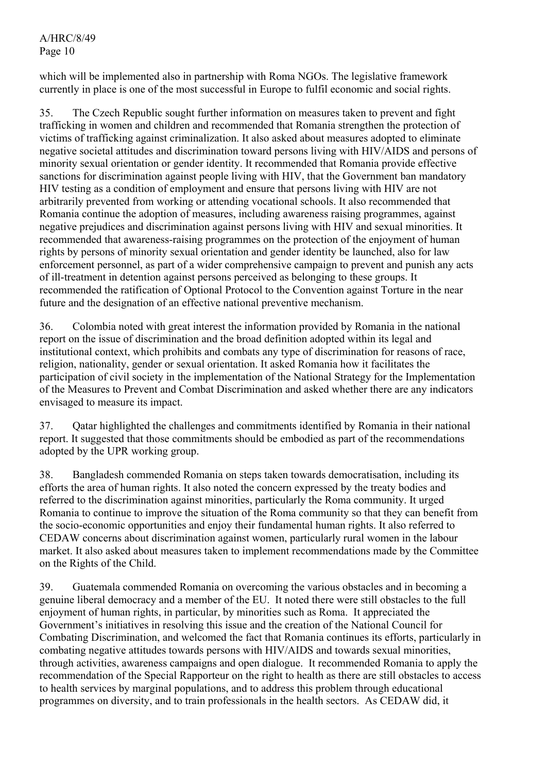which will be implemented also in partnership with Roma NGOs. The legislative framework currently in place is one of the most successful in Europe to fulfil economic and social rights.

35. The Czech Republic sought further information on measures taken to prevent and fight trafficking in women and children and recommended that Romania strengthen the protection of victims of trafficking against criminalization. It also asked about measures adopted to eliminate negative societal attitudes and discrimination toward persons living with HIV/AIDS and persons of minority sexual orientation or gender identity. It recommended that Romania provide effective sanctions for discrimination against people living with HIV, that the Government ban mandatory HIV testing as a condition of employment and ensure that persons living with HIV are not arbitrarily prevented from working or attending vocational schools. It also recommended that Romania continue the adoption of measures, including awareness raising programmes, against negative prejudices and discrimination against persons living with HIV and sexual minorities. It recommended that awareness-raising programmes on the protection of the enjoyment of human rights by persons of minority sexual orientation and gender identity be launched, also for law enforcement personnel, as part of a wider comprehensive campaign to prevent and punish any acts of ill-treatment in detention against persons perceived as belonging to these groups. It recommended the ratification of Optional Protocol to the Convention against Torture in the near future and the designation of an effective national preventive mechanism.

36. Colombia noted with great interest the information provided by Romania in the national report on the issue of discrimination and the broad definition adopted within its legal and institutional context, which prohibits and combats any type of discrimination for reasons of race, religion, nationality, gender or sexual orientation. It asked Romania how it facilitates the participation of civil society in the implementation of the National Strategy for the Implementation of the Measures to Prevent and Combat Discrimination and asked whether there are any indicators envisaged to measure its impact.

37. Qatar highlighted the challenges and commitments identified by Romania in their national report. It suggested that those commitments should be embodied as part of the recommendations adopted by the UPR working group.

38. Bangladesh commended Romania on steps taken towards democratisation, including its efforts the area of human rights. It also noted the concern expressed by the treaty bodies and referred to the discrimination against minorities, particularly the Roma community. It urged Romania to continue to improve the situation of the Roma community so that they can benefit from the socio-economic opportunities and enjoy their fundamental human rights. It also referred to CEDAW concerns about discrimination against women, particularly rural women in the labour market. It also asked about measures taken to implement recommendations made by the Committee on the Rights of the Child.

39. Guatemala commended Romania on overcoming the various obstacles and in becoming a genuine liberal democracy and a member of the EU. It noted there were still obstacles to the full enjoyment of human rights, in particular, by minorities such as Roma. It appreciated the Government's initiatives in resolving this issue and the creation of the National Council for Combating Discrimination, and welcomed the fact that Romania continues its efforts, particularly in combating negative attitudes towards persons with HIV/AIDS and towards sexual minorities, through activities, awareness campaigns and open dialogue. It recommended Romania to apply the recommendation of the Special Rapporteur on the right to health as there are still obstacles to access to health services by marginal populations, and to address this problem through educational programmes on diversity, and to train professionals in the health sectors. As CEDAW did, it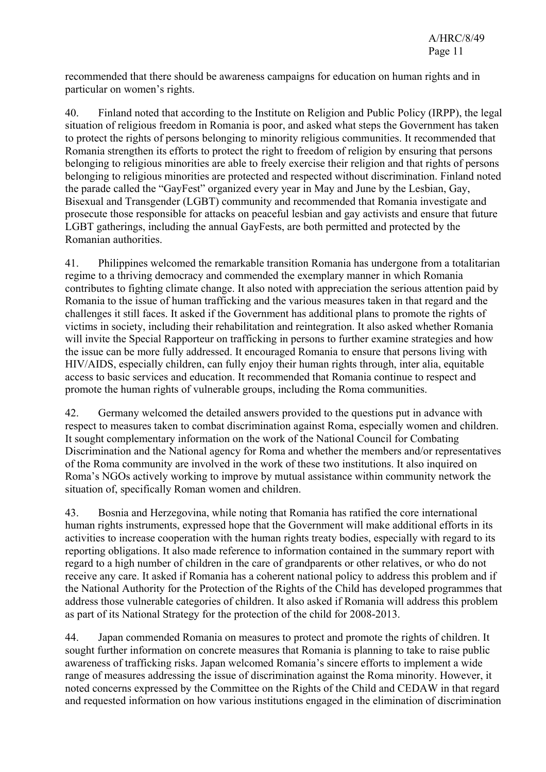recommended that there should be awareness campaigns for education on human rights and in particular on women's rights.

40. Finland noted that according to the Institute on Religion and Public Policy (IRPP), the legal situation of religious freedom in Romania is poor, and asked what steps the Government has taken to protect the rights of persons belonging to minority religious communities. It recommended that Romania strengthen its efforts to protect the right to freedom of religion by ensuring that persons belonging to religious minorities are able to freely exercise their religion and that rights of persons belonging to religious minorities are protected and respected without discrimination. Finland noted the parade called the "GayFest" organized every year in May and June by the Lesbian, Gay, Bisexual and Transgender (LGBT) community and recommended that Romania investigate and prosecute those responsible for attacks on peaceful lesbian and gay activists and ensure that future LGBT gatherings, including the annual GayFests, are both permitted and protected by the Romanian authorities.

41. Philippines welcomed the remarkable transition Romania has undergone from a totalitarian regime to a thriving democracy and commended the exemplary manner in which Romania contributes to fighting climate change. It also noted with appreciation the serious attention paid by Romania to the issue of human trafficking and the various measures taken in that regard and the challenges it still faces. It asked if the Government has additional plans to promote the rights of victims in society, including their rehabilitation and reintegration. It also asked whether Romania will invite the Special Rapporteur on trafficking in persons to further examine strategies and how the issue can be more fully addressed. It encouraged Romania to ensure that persons living with HIV/AIDS, especially children, can fully enjoy their human rights through, inter alia, equitable access to basic services and education. It recommended that Romania continue to respect and promote the human rights of vulnerable groups, including the Roma communities.

42. Germany welcomed the detailed answers provided to the questions put in advance with respect to measures taken to combat discrimination against Roma, especially women and children. It sought complementary information on the work of the National Council for Combating Discrimination and the National agency for Roma and whether the members and/or representatives of the Roma community are involved in the work of these two institutions. It also inquired on Roma's NGOs actively working to improve by mutual assistance within community network the situation of, specifically Roman women and children.

43. Bosnia and Herzegovina, while noting that Romania has ratified the core international human rights instruments, expressed hope that the Government will make additional efforts in its activities to increase cooperation with the human rights treaty bodies, especially with regard to its reporting obligations. It also made reference to information contained in the summary report with regard to a high number of children in the care of grandparents or other relatives, or who do not receive any care. It asked if Romania has a coherent national policy to address this problem and if the National Authority for the Protection of the Rights of the Child has developed programmes that address those vulnerable categories of children. It also asked if Romania will address this problem as part of its National Strategy for the protection of the child for 2008-2013.

44. Japan commended Romania on measures to protect and promote the rights of children. It sought further information on concrete measures that Romania is planning to take to raise public awareness of trafficking risks. Japan welcomed Romania's sincere efforts to implement a wide range of measures addressing the issue of discrimination against the Roma minority. However, it noted concerns expressed by the Committee on the Rights of the Child and CEDAW in that regard and requested information on how various institutions engaged in the elimination of discrimination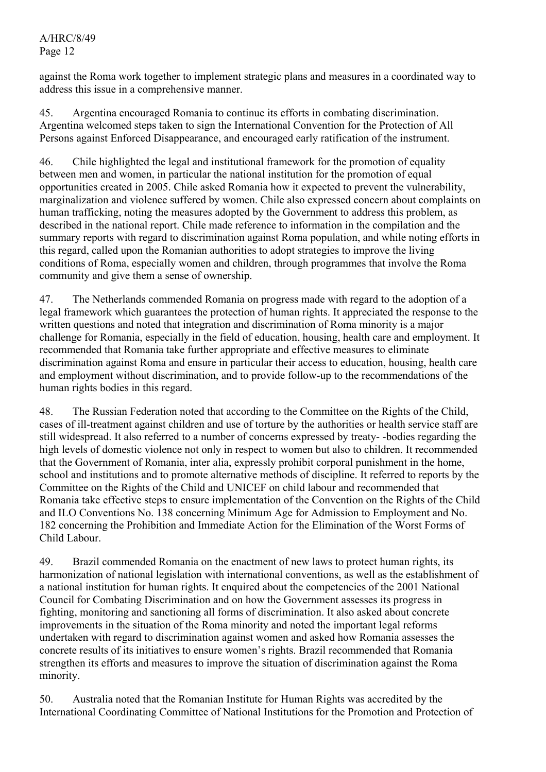against the Roma work together to implement strategic plans and measures in a coordinated way to address this issue in a comprehensive manner.

45. Argentina encouraged Romania to continue its efforts in combating discrimination. Argentina welcomed steps taken to sign the International Convention for the Protection of All Persons against Enforced Disappearance, and encouraged early ratification of the instrument.

46. Chile highlighted the legal and institutional framework for the promotion of equality between men and women, in particular the national institution for the promotion of equal opportunities created in 2005. Chile asked Romania how it expected to prevent the vulnerability, marginalization and violence suffered by women. Chile also expressed concern about complaints on human trafficking, noting the measures adopted by the Government to address this problem, as described in the national report. Chile made reference to information in the compilation and the summary reports with regard to discrimination against Roma population, and while noting efforts in this regard, called upon the Romanian authorities to adopt strategies to improve the living conditions of Roma, especially women and children, through programmes that involve the Roma community and give them a sense of ownership.

47. The Netherlands commended Romania on progress made with regard to the adoption of a legal framework which guarantees the protection of human rights. It appreciated the response to the written questions and noted that integration and discrimination of Roma minority is a major challenge for Romania, especially in the field of education, housing, health care and employment. It recommended that Romania take further appropriate and effective measures to eliminate discrimination against Roma and ensure in particular their access to education, housing, health care and employment without discrimination, and to provide follow-up to the recommendations of the human rights bodies in this regard.

48. The Russian Federation noted that according to the Committee on the Rights of the Child, cases of ill-treatment against children and use of torture by the authorities or health service staff are still widespread. It also referred to a number of concerns expressed by treaty- -bodies regarding the high levels of domestic violence not only in respect to women but also to children. It recommended that the Government of Romania, inter alia, expressly prohibit corporal punishment in the home, school and institutions and to promote alternative methods of discipline. It referred to reports by the Committee on the Rights of the Child and UNICEF on child labour and recommended that Romania take effective steps to ensure implementation of the Convention on the Rights of the Child and ILO Conventions No. 138 concerning Minimum Age for Admission to Employment and No. 182 concerning the Prohibition and Immediate Action for the Elimination of the Worst Forms of Child Labour.

49. Brazil commended Romania on the enactment of new laws to protect human rights, its harmonization of national legislation with international conventions, as well as the establishment of a national institution for human rights. It enquired about the competencies of the 2001 National Council for Combating Discrimination and on how the Government assesses its progress in fighting, monitoring and sanctioning all forms of discrimination. It also asked about concrete improvements in the situation of the Roma minority and noted the important legal reforms undertaken with regard to discrimination against women and asked how Romania assesses the concrete results of its initiatives to ensure women's rights. Brazil recommended that Romania strengthen its efforts and measures to improve the situation of discrimination against the Roma minority.

50. Australia noted that the Romanian Institute for Human Rights was accredited by the International Coordinating Committee of National Institutions for the Promotion and Protection of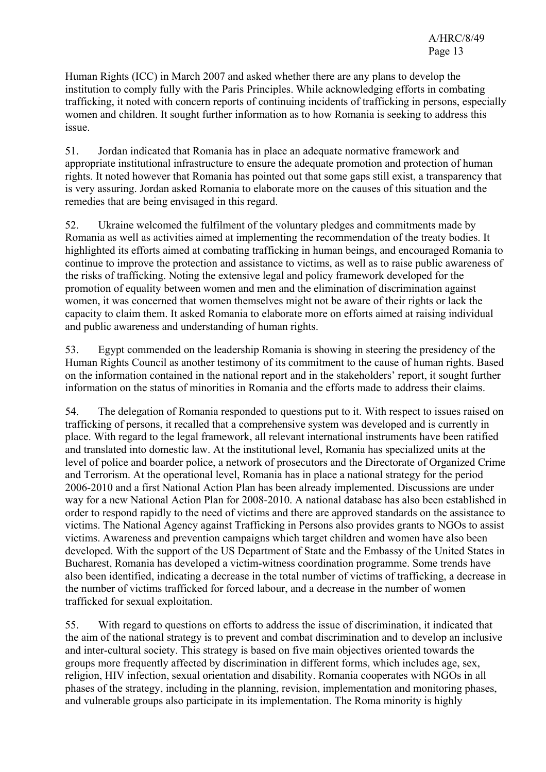Human Rights (ICC) in March 2007 and asked whether there are any plans to develop the institution to comply fully with the Paris Principles. While acknowledging efforts in combating trafficking, it noted with concern reports of continuing incidents of trafficking in persons, especially women and children. It sought further information as to how Romania is seeking to address this issue.

51. Jordan indicated that Romania has in place an adequate normative framework and appropriate institutional infrastructure to ensure the adequate promotion and protection of human rights. It noted however that Romania has pointed out that some gaps still exist, a transparency that is very assuring. Jordan asked Romania to elaborate more on the causes of this situation and the remedies that are being envisaged in this regard.

52. Ukraine welcomed the fulfilment of the voluntary pledges and commitments made by Romania as well as activities aimed at implementing the recommendation of the treaty bodies. It highlighted its efforts aimed at combating trafficking in human beings, and encouraged Romania to continue to improve the protection and assistance to victims, as well as to raise public awareness of the risks of trafficking. Noting the extensive legal and policy framework developed for the promotion of equality between women and men and the elimination of discrimination against women, it was concerned that women themselves might not be aware of their rights or lack the capacity to claim them. It asked Romania to elaborate more on efforts aimed at raising individual and public awareness and understanding of human rights.

53. Egypt commended on the leadership Romania is showing in steering the presidency of the Human Rights Council as another testimony of its commitment to the cause of human rights. Based on the information contained in the national report and in the stakeholders' report, it sought further information on the status of minorities in Romania and the efforts made to address their claims.

54. The delegation of Romania responded to questions put to it. With respect to issues raised on trafficking of persons, it recalled that a comprehensive system was developed and is currently in place. With regard to the legal framework, all relevant international instruments have been ratified and translated into domestic law. At the institutional level, Romania has specialized units at the level of police and boarder police, a network of prosecutors and the Directorate of Organized Crime and Terrorism. At the operational level, Romania has in place a national strategy for the period 2006-2010 and a first National Action Plan has been already implemented. Discussions are under way for a new National Action Plan for 2008-2010. A national database has also been established in order to respond rapidly to the need of victims and there are approved standards on the assistance to victims. The National Agency against Trafficking in Persons also provides grants to NGOs to assist victims. Awareness and prevention campaigns which target children and women have also been developed. With the support of the US Department of State and the Embassy of the United States in Bucharest, Romania has developed a victim-witness coordination programme. Some trends have also been identified, indicating a decrease in the total number of victims of trafficking, a decrease in the number of victims trafficked for forced labour, and a decrease in the number of women trafficked for sexual exploitation.

55. With regard to questions on efforts to address the issue of discrimination, it indicated that the aim of the national strategy is to prevent and combat discrimination and to develop an inclusive and inter-cultural society. This strategy is based on five main objectives oriented towards the groups more frequently affected by discrimination in different forms, which includes age, sex, religion, HIV infection, sexual orientation and disability. Romania cooperates with NGOs in all phases of the strategy, including in the planning, revision, implementation and monitoring phases, and vulnerable groups also participate in its implementation. The Roma minority is highly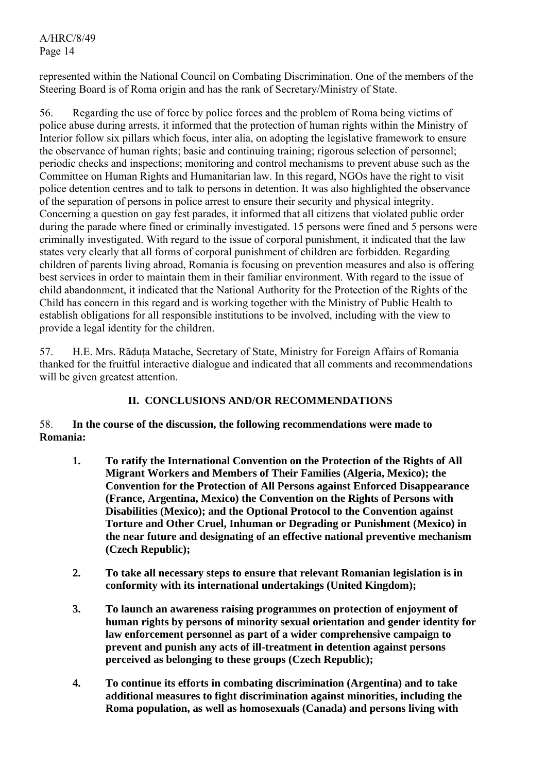represented within the National Council on Combating Discrimination. One of the members of the Steering Board is of Roma origin and has the rank of Secretary/Ministry of State.

56. Regarding the use of force by police forces and the problem of Roma being victims of police abuse during arrests, it informed that the protection of human rights within the Ministry of Interior follow six pillars which focus, inter alia, on adopting the legislative framework to ensure the observance of human rights; basic and continuing training; rigorous selection of personnel; periodic checks and inspections; monitoring and control mechanisms to prevent abuse such as the Committee on Human Rights and Humanitarian law. In this regard, NGOs have the right to visit police detention centres and to talk to persons in detention. It was also highlighted the observance of the separation of persons in police arrest to ensure their security and physical integrity. Concerning a question on gay fest parades, it informed that all citizens that violated public order during the parade where fined or criminally investigated. 15 persons were fined and 5 persons were criminally investigated. With regard to the issue of corporal punishment, it indicated that the law states very clearly that all forms of corporal punishment of children are forbidden. Regarding children of parents living abroad, Romania is focusing on prevention measures and also is offering best services in order to maintain them in their familiar environment. With regard to the issue of child abandonment, it indicated that the National Authority for the Protection of the Rights of the Child has concern in this regard and is working together with the Ministry of Public Health to establish obligations for all responsible institutions to be involved, including with the view to provide a legal identity for the children.

57. H.E. Mrs. Răduţa Matache, Secretary of State, Ministry for Foreign Affairs of Romania thanked for the fruitful interactive dialogue and indicated that all comments and recommendations will be given greatest attention.

## **II. CONCLUSIONS AND/OR RECOMMENDATIONS**

## 58. **In the course of the discussion, the following recommendations were made to Romania:**

- **1. To ratify the International Convention on the Protection of the Rights of All Migrant Workers and Members of Their Families (Algeria, Mexico); the Convention for the Protection of All Persons against Enforced Disappearance (France, Argentina, Mexico) the Convention on the Rights of Persons with Disabilities (Mexico); and the Optional Protocol to the Convention against Torture and Other Cruel, Inhuman or Degrading or Punishment (Mexico) in the near future and designating of an effective national preventive mechanism (Czech Republic);**
- **2. To take all necessary steps to ensure that relevant Romanian legislation is in conformity with its international undertakings (United Kingdom);**
- **3. To launch an awareness raising programmes on protection of enjoyment of human rights by persons of minority sexual orientation and gender identity for law enforcement personnel as part of a wider comprehensive campaign to prevent and punish any acts of ill-treatment in detention against persons perceived as belonging to these groups (Czech Republic);**
- **4. To continue its efforts in combating discrimination (Argentina) and to take additional measures to fight discrimination against minorities, including the Roma population, as well as homosexuals (Canada) and persons living with**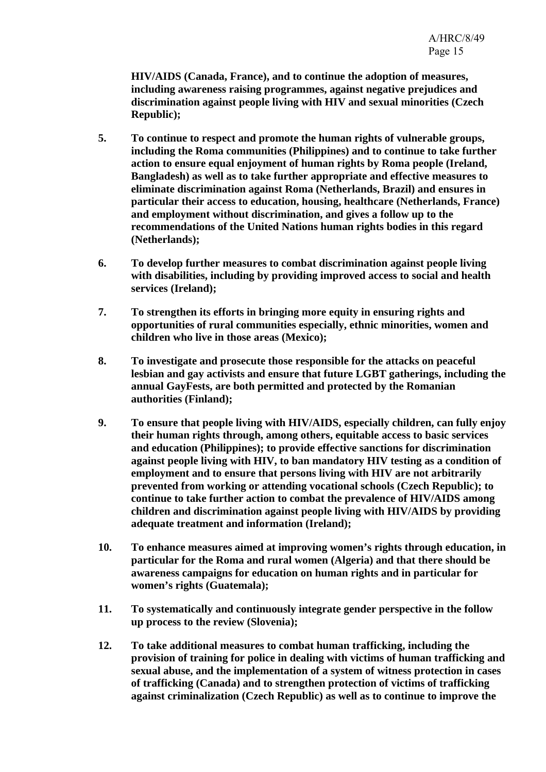**HIV/AIDS (Canada, France), and to continue the adoption of measures, including awareness raising programmes, against negative prejudices and discrimination against people living with HIV and sexual minorities (Czech Republic);** 

- **5. To continue to respect and promote the human rights of vulnerable groups, including the Roma communities (Philippines) and to continue to take further action to ensure equal enjoyment of human rights by Roma people (Ireland, Bangladesh) as well as to take further appropriate and effective measures to eliminate discrimination against Roma (Netherlands, Brazil) and ensures in particular their access to education, housing, healthcare (Netherlands, France) and employment without discrimination, and gives a follow up to the recommendations of the United Nations human rights bodies in this regard (Netherlands);**
- **6. To develop further measures to combat discrimination against people living with disabilities, including by providing improved access to social and health services (Ireland);**
- **7. To strengthen its efforts in bringing more equity in ensuring rights and opportunities of rural communities especially, ethnic minorities, women and children who live in those areas (Mexico);**
- **8. To investigate and prosecute those responsible for the attacks on peaceful lesbian and gay activists and ensure that future LGBT gatherings, including the annual GayFests, are both permitted and protected by the Romanian authorities (Finland);**
- **9. To ensure that people living with HIV/AIDS, especially children, can fully enjoy their human rights through, among others, equitable access to basic services and education (Philippines); to provide effective sanctions for discrimination against people living with HIV, to ban mandatory HIV testing as a condition of employment and to ensure that persons living with HIV are not arbitrarily prevented from working or attending vocational schools (Czech Republic); to continue to take further action to combat the prevalence of HIV/AIDS among children and discrimination against people living with HIV/AIDS by providing adequate treatment and information (Ireland);**
- **10. To enhance measures aimed at improving women's rights through education, in particular for the Roma and rural women (Algeria) and that there should be awareness campaigns for education on human rights and in particular for women's rights (Guatemala);**
- **11. To systematically and continuously integrate gender perspective in the follow up process to the review (Slovenia);**
- **12. To take additional measures to combat human trafficking, including the provision of training for police in dealing with victims of human trafficking and sexual abuse, and the implementation of a system of witness protection in cases of trafficking (Canada) and to strengthen protection of victims of trafficking against criminalization (Czech Republic) as well as to continue to improve the**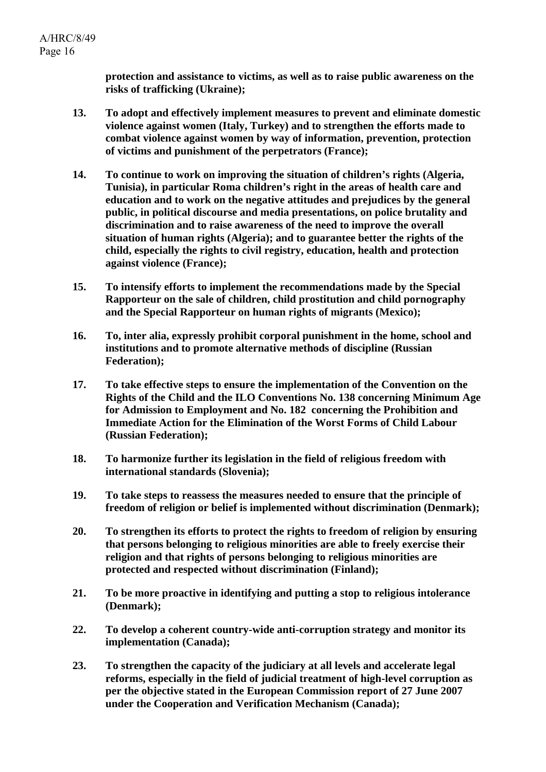**protection and assistance to victims, as well as to raise public awareness on the risks of trafficking (Ukraine);** 

- **13. To adopt and effectively implement measures to prevent and eliminate domestic violence against women (Italy, Turkey) and to strengthen the efforts made to combat violence against women by way of information, prevention, protection of victims and punishment of the perpetrators (France);**
- **14. To continue to work on improving the situation of children's rights (Algeria, Tunisia), in particular Roma children's right in the areas of health care and education and to work on the negative attitudes and prejudices by the general public, in political discourse and media presentations, on police brutality and discrimination and to raise awareness of the need to improve the overall situation of human rights (Algeria); and to guarantee better the rights of the child, especially the rights to civil registry, education, health and protection against violence (France);**
- **15. To intensify efforts to implement the recommendations made by the Special Rapporteur on the sale of children, child prostitution and child pornography and the Special Rapporteur on human rights of migrants (Mexico);**
- **16. To, inter alia, expressly prohibit corporal punishment in the home, school and institutions and to promote alternative methods of discipline (Russian Federation);**
- **17. To take effective steps to ensure the implementation of the Convention on the Rights of the Child and the ILO Conventions No. 138 concerning Minimum Age for Admission to Employment and No. 182 concerning the Prohibition and Immediate Action for the Elimination of the Worst Forms of Child Labour (Russian Federation);**
- **18. To harmonize further its legislation in the field of religious freedom with international standards (Slovenia);**
- **19. To take steps to reassess the measures needed to ensure that the principle of freedom of religion or belief is implemented without discrimination (Denmark);**
- **20. To strengthen its efforts to protect the rights to freedom of religion by ensuring that persons belonging to religious minorities are able to freely exercise their religion and that rights of persons belonging to religious minorities are protected and respected without discrimination (Finland);**
- **21. To be more proactive in identifying and putting a stop to religious intolerance (Denmark);**
- **22. To develop a coherent country-wide anti-corruption strategy and monitor its implementation (Canada);**
- **23. To strengthen the capacity of the judiciary at all levels and accelerate legal reforms, especially in the field of judicial treatment of high-level corruption as per the objective stated in the European Commission report of 27 June 2007 under the Cooperation and Verification Mechanism (Canada);**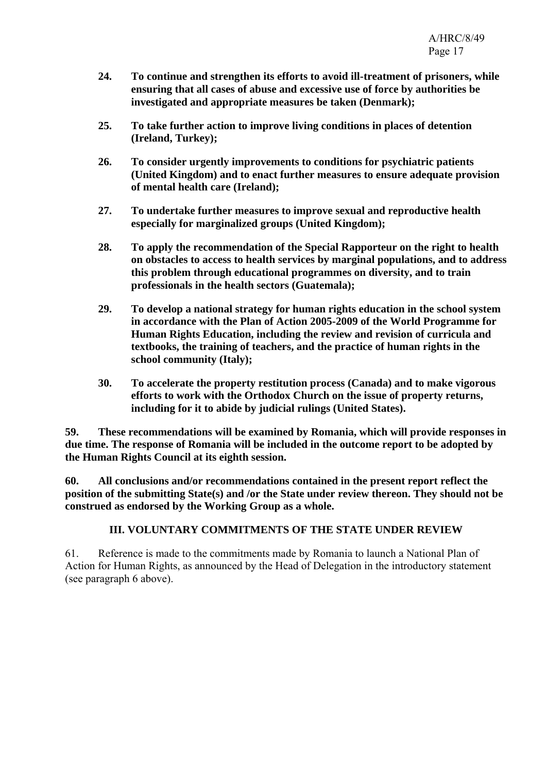- **24. To continue and strengthen its efforts to avoid ill-treatment of prisoners, while ensuring that all cases of abuse and excessive use of force by authorities be investigated and appropriate measures be taken (Denmark);**
- **25. To take further action to improve living conditions in places of detention (Ireland, Turkey);**
- **26. To consider urgently improvements to conditions for psychiatric patients (United Kingdom) and to enact further measures to ensure adequate provision of mental health care (Ireland);**
- **27. To undertake further measures to improve sexual and reproductive health especially for marginalized groups (United Kingdom);**
- **28. To apply the recommendation of the Special Rapporteur on the right to health on obstacles to access to health services by marginal populations, and to address this problem through educational programmes on diversity, and to train professionals in the health sectors (Guatemala);**
- **29. To develop a national strategy for human rights education in the school system in accordance with the Plan of Action 2005-2009 of the World Programme for Human Rights Education, including the review and revision of curricula and textbooks, the training of teachers, and the practice of human rights in the school community (Italy);**
- **30. To accelerate the property restitution process (Canada) and to make vigorous efforts to work with the Orthodox Church on the issue of property returns, including for it to abide by judicial rulings (United States).**

**59. These recommendations will be examined by Romania, which will provide responses in due time. The response of Romania will be included in the outcome report to be adopted by the Human Rights Council at its eighth session.** 

**60. All conclusions and/or recommendations contained in the present report reflect the position of the submitting State(s) and /or the State under review thereon. They should not be construed as endorsed by the Working Group as a whole.** 

# **III. VOLUNTARY COMMITMENTS OF THE STATE UNDER REVIEW**

61. Reference is made to the commitments made by Romania to launch a National Plan of Action for Human Rights, as announced by the Head of Delegation in the introductory statement (see paragraph 6 above).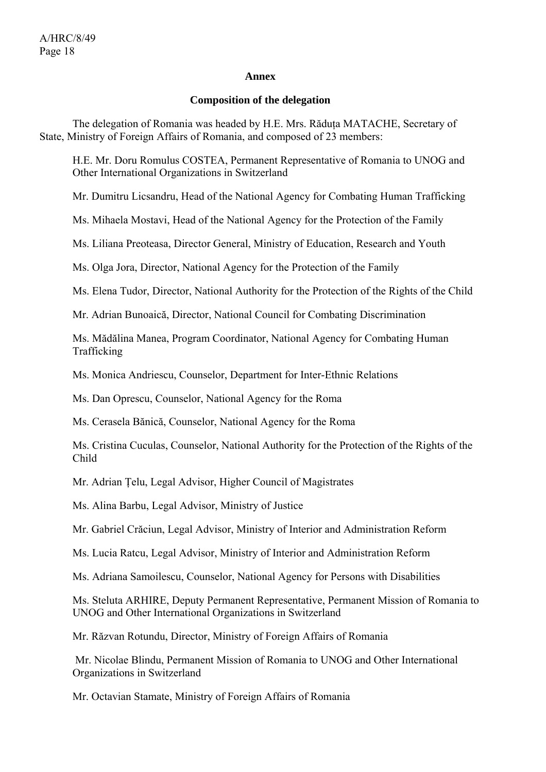#### **Annex**

#### **Composition of the delegation**

The delegation of Romania was headed by H.E. Mrs. Răduța MATACHE, Secretary of State, Ministry of Foreign Affairs of Romania, and composed of 23 members:

H.E. Mr. Doru Romulus COSTEA, Permanent Representative of Romania to UNOG and Other International Organizations in Switzerland

Mr. Dumitru Licsandru, Head of the National Agency for Combating Human Trafficking

Ms. Mihaela Mostavi, Head of the National Agency for the Protection of the Family

Ms. Liliana Preoteasa, Director General, Ministry of Education, Research and Youth

Ms. Olga Jora, Director, National Agency for the Protection of the Family

Ms. Elena Tudor, Director, National Authority for the Protection of the Rights of the Child

Mr. Adrian Bunoaică, Director, National Council for Combating Discrimination

Ms. Mădălina Manea, Program Coordinator, National Agency for Combating Human Trafficking

Ms. Monica Andriescu, Counselor, Department for Inter-Ethnic Relations

Ms. Dan Oprescu, Counselor, National Agency for the Roma

Ms. Cerasela Bănică, Counselor, National Agency for the Roma

Ms. Cristina Cuculas, Counselor, National Authority for the Protection of the Rights of the Child

Mr. Adrian Ţelu, Legal Advisor, Higher Council of Magistrates

Ms. Alina Barbu, Legal Advisor, Ministry of Justice

Mr. Gabriel Crăciun, Legal Advisor, Ministry of Interior and Administration Reform

Ms. Lucia Ratcu, Legal Advisor, Ministry of Interior and Administration Reform

Ms. Adriana Samoilescu, Counselor, National Agency for Persons with Disabilities

Ms. Steluta ARHIRE, Deputy Permanent Representative, Permanent Mission of Romania to UNOG and Other International Organizations in Switzerland

Mr. Răzvan Rotundu, Director, Ministry of Foreign Affairs of Romania

 Mr. Nicolae Blindu, Permanent Mission of Romania to UNOG and Other International Organizations in Switzerland

Mr. Octavian Stamate, Ministry of Foreign Affairs of Romania